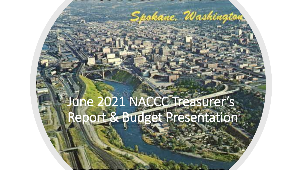## June 2021 NACCC Treasurer's Report & Budget Presentation

Spokane, Washington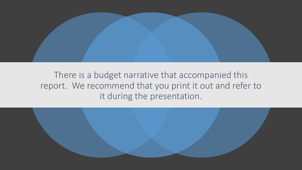

## There is a budget narrative that accompanied this report. We recommend that you print it out and refer to it during the presentation.

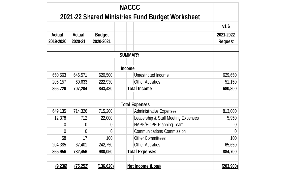|                |               |               | <b>NACCC</b>                                    |                |
|----------------|---------------|---------------|-------------------------------------------------|----------------|
|                |               |               | 2021-22 Shared Ministries Fund Budget Worksheet |                |
|                |               |               |                                                 | V1.6           |
| <b>Actual</b>  | <b>Actual</b> | <b>Budget</b> |                                                 | 2021-2022      |
| 2019-2020      | 2020-21       | 2020-2021     |                                                 | <b>Request</b> |
|                |               |               | <b>SUMMARY</b>                                  |                |
|                |               |               | <b>Income</b>                                   |                |
| 650,563        | 646,571       | 620,500       | Unrestricted Income                             | 629,650        |
| 206,157        | 60,633        | 222,930       | <b>Other Activities</b>                         | 51,150         |
| 856,720        | 707,204       | 843,430       | <b>Total Income</b>                             | 680,800        |
|                |               |               | <b>Total Expenses</b>                           |                |
| 649,135        | 714,326       | 715,200       | <b>Administrative Expenses</b>                  | 813,000        |
| 12,378         | 712           | 22,000        | Leadership & Staff Meeting Expenses             | 5,950          |
| 0              | $\Omega$      | 0             | NAPF/HOPE Planning Team                         | $\theta$       |
| $\overline{0}$ | $\Omega$      | $\Omega$      | <b>Communications Commission</b>                | $\overline{0}$ |
| 58             | 17            | 100           | <b>Other Committees</b>                         | 100            |
| 204,385        | 67,401        | 242,750       | <b>Other Activities</b>                         | 65,650         |
| 865,956        | 782,456       | 980,050       | <b>Total Expenses</b>                           | 884,700        |
| (9, 236)       | (75, 252)     | (136, 620)    | Net Income (Loss)                               | (203, 900)     |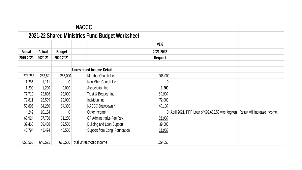|           |         |                                                 | <b>NACCC</b>                      |                |  |                                                                                  |  |  |
|-----------|---------|-------------------------------------------------|-----------------------------------|----------------|--|----------------------------------------------------------------------------------|--|--|
|           |         | 2021-22 Shared Ministries Fund Budget Worksheet |                                   |                |  |                                                                                  |  |  |
|           |         |                                                 |                                   | V1.6           |  |                                                                                  |  |  |
| Actual    | Actual  | <b>Budget</b>                                   |                                   | 2021-2022      |  |                                                                                  |  |  |
| 2019-2020 | 2020-21 | 2020-2021                                       |                                   | <b>Request</b> |  |                                                                                  |  |  |
|           |         |                                                 | <b>Unrestricted Income Detail</b> |                |  |                                                                                  |  |  |
| 278,263   | 263,821 | 265,000                                         | Member Church Inc                 | 265,000        |  |                                                                                  |  |  |
| 1,255     | 1,111   | $\theta$                                        | Non Mber Church Inc               | 0              |  |                                                                                  |  |  |
| 1,200     | 1,200   | 2,000                                           | Association Inc                   | 1,200          |  |                                                                                  |  |  |
| 77,710    | 72,836  | 73,000                                          | Trust & Bequest Inc               | 69,000         |  |                                                                                  |  |  |
| 79,811    | 92,509  | 72,000                                          | Individual Inc                    | 72,000         |  |                                                                                  |  |  |
| 58,896    | 64,260  | 64,300                                          | NACCC Drawdown *                  | 40,100         |  |                                                                                  |  |  |
| 242       | 10,164  | $\theta$                                        | Other Income                      |                |  | 0 April 2021, PPP Loan of \$99,662.50 was forgiven. Result will increase income. |  |  |
| 66,924    | 57,708  | 61,200                                          | CF Adminstrative Fee Rev.         | 81,000         |  |                                                                                  |  |  |
| 39,468    | 39,468  | 39,500                                          | <b>Building and Loan Support</b>  | 39,500         |  |                                                                                  |  |  |
| 46,794    | 43,494  | 43,500                                          | Support from Cong. Foundation     | 61,850         |  |                                                                                  |  |  |
| 650,563   | 646,571 |                                                 | 620,500 Total Unrestricted Income | 629,650        |  |                                                                                  |  |  |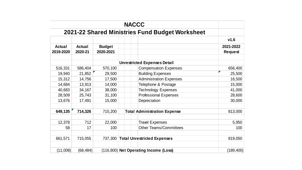|               |               |               | <b>NACCC</b>                                            |                |
|---------------|---------------|---------------|---------------------------------------------------------|----------------|
|               |               |               | 2021-22 Shared Ministries Fund Budget Worksheet         |                |
|               |               |               |                                                         | V1.6           |
| <b>Actual</b> | <b>Actual</b> | <b>Budget</b> |                                                         | 2021-2022      |
| 2019-2020     | 2020-21       | 2020-2021     |                                                         | <b>Request</b> |
|               |               |               | <b>Unrestricted Expenses Detail</b>                     |                |
| 516,331       | 586,404       | 570,100       | <b>Compensation Expenses</b>                            | 656,400        |
| 19,940        | 21,852        | 29,500        | <b>Building Expenses</b>                                | 25,500         |
| 15,312        | 14,756        | 17,500        | <b>Administration Expenses</b>                          | 16,500         |
| 14,684        | 13,913        | 14,000        | Telephone & Postage                                     | 15,000         |
| 40,683        | 34,167        | 38,000        | <b>Technology Expenses</b>                              | 41,000         |
| 28,509        | 25,743        | 31,100        | <b>Professional Expenses</b>                            | 28,600         |
| 13,676        | 17,491        | 15,000        | Depreciation                                            | 30,000         |
| 649,135       | 714,326       | 715,200       | <b>Total Administration Expense</b>                     | 813,000        |
|               | 712           |               |                                                         |                |
| 12,378<br>58  | 17            | 22,000<br>100 | <b>Travel Expenses</b><br><b>Other Teams/Committees</b> | 5,950<br>100   |
|               |               |               |                                                         |                |
| 661,571       | 715,055       |               | 737,300 Total Unrestricted Expenses                     | 819,050        |
| (11,008)      | (68, 484)     |               | (116,800) Net Operating Income (Loss)                   | (189, 400)     |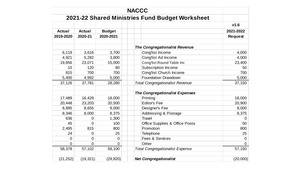|                |                |                | <b>NACCC</b>                                    |                |
|----------------|----------------|----------------|-------------------------------------------------|----------------|
|                |                |                | 2021-22 Shared Ministries Fund Budget Worksheet |                |
|                |                |                |                                                 | V1.6           |
| <b>Actual</b>  | <b>Actual</b>  | <b>Budget</b>  |                                                 | 2021-2022      |
| 2019-2020      | 2020-21        | 2020-2021      |                                                 | <b>Request</b> |
|                |                |                |                                                 |                |
|                |                |                | <b>The Congregationalist Revenue</b>            |                |
| 6,119          | 3,616          | 3,700          | Cong'list Income                                | 4,000          |
| 4,921          | 5,282          | 3,800          | Cong'list Ad Income                             | 4,000          |
| 19,856         | 23,071         | 15,000         | Cong'list Round Table Inc                       | 23,400         |
| 15             | 120            | 80             | <b>Subscription Income</b>                      | 50             |
| 815            | 700            | 700            | <b>Conglist Church Income</b>                   | 700            |
| 5,400          | 4,992          | 5,000          | <b>Foundation Drawdown</b>                      | 5,000          |
| 37,126         | 37,781         | 28,280         | <b>Total Congregationalist Revenue</b>          | 37,150         |
|                |                |                |                                                 |                |
|                |                |                | <b>The Congregationalist Expenses</b>           |                |
| 17,489         | 16,429         | 18,000         | Printing                                        | 18,000         |
| 20,448         | 23,203         | 20,500         | <b>Editor's Fee</b>                             | 20,900         |
| 8,895          | 8,655          | 9,000          | Designer's Fee                                  | 9,000          |
| 8,346          | 8,000          | 8,375          | <b>Addressing &amp; Postage</b>                 | 8,375          |
| 636            | $\overline{0}$ | 1,300          | <b>Travel</b>                                   | $\mathbf 0$    |
| 45             | $\overline{0}$ | 100            | Office Supplies & Office Posta                  | 50             |
| 2,495          | 815            | 800            | Promotion                                       | 800            |
| 24             | 0              | 25             | <b>Telephone</b>                                | 25             |
| $\mathbf 0$    | $\overline{0}$ | $\overline{0}$ | <b>Fees &amp; Services</b>                      | $\overline{0}$ |
| $\overline{0}$ | 0              | $\overline{0}$ | Other                                           | $\overline{0}$ |
| 58,378         | 57,102         | 58,100         | <b>Total Congregationalist Expense</b>          | 57,150         |
| (21, 252)      | (19, 321)      | (29, 820)      | <b>Net Congregationalist</b>                    | (20,000)       |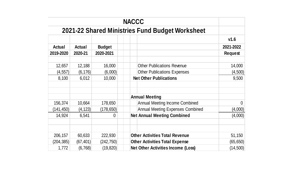|                     |                       |                         | <b>NACCC</b>                                                                       |                        |
|---------------------|-----------------------|-------------------------|------------------------------------------------------------------------------------|------------------------|
|                     |                       |                         | 2021-22 Shared Ministries Fund Budget Worksheet                                    |                        |
|                     |                       |                         |                                                                                    | V1.6                   |
| <b>Actual</b>       | <b>Actual</b>         | <b>Budget</b>           |                                                                                    | 2021-2022              |
| 2019-2020           | 2020-21               | 2020-2021               |                                                                                    | <b>Request</b>         |
| 12,657              | 12,188                | 16,000                  | <b>Other Publications Revenue</b>                                                  | 14,000                 |
| (4, 557)            | (6, 176)              | (6,000)                 | <b>Other Publications Expenses</b>                                                 | (4,500)                |
| 8,100               | 6,012                 | 10,000                  | <b>Net Other Publications</b>                                                      | 9,500                  |
|                     |                       |                         | <b>Annual Meeting</b>                                                              |                        |
| 156,374             | 10,664                | 178,650                 | <b>Annual Meeting Income Combined</b>                                              | 0                      |
| (141, 450)          | (4, 123)              | (178,650)               | <b>Annual Meeting Expenses Combined</b>                                            | (4,000)                |
| 14,924              | 6,541                 | $\overline{0}$          | <b>Net Annual Meeting Combined</b>                                                 | (4,000)                |
|                     |                       |                         |                                                                                    |                        |
| 206,157             | 60,633                | 222,930                 | <b>Other Activities Total Revenue</b>                                              | 51,150                 |
| (204, 385)<br>1,772 | (67, 401)<br>(6, 768) | (242, 750)<br>(19, 820) | <b>Other Activities Total Expense</b><br><b>Net Other Activities Income (Loss)</b> | (65, 650)<br>(14, 500) |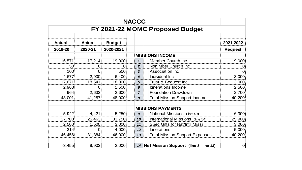|                                 |                                             |                  | <b>NACCC</b> |                |               |               |  |  |  |  |  |
|---------------------------------|---------------------------------------------|------------------|--------------|----------------|---------------|---------------|--|--|--|--|--|
| FY 2021-22 MOMC Proposed Budget |                                             |                  |              |                |               |               |  |  |  |  |  |
| 2021-2022                       |                                             |                  |              | <b>Budget</b>  | <b>Actual</b> | <b>Actual</b> |  |  |  |  |  |
| <b>Request</b>                  |                                             |                  |              | 2020-2021      | 2020-21       | 2019-20       |  |  |  |  |  |
|                                 | <b>MISSIONS INCOME</b>                      |                  |              |                |               |               |  |  |  |  |  |
| 19,000                          | Member Church Inc                           | 1 <sup>1</sup>   |              | 19,000         | 17,214        | 16,571        |  |  |  |  |  |
|                                 | Non Mber Church Inc                         | $\overline{2}$   |              | $\overline{0}$ | 0             | 50            |  |  |  |  |  |
|                                 | <b>Association Inc</b>                      | $\mathbf{3}$     |              | 500            | 0             | 100           |  |  |  |  |  |
| 3,000                           | Individual Inc                              | $\boldsymbol{4}$ |              | 6,400          | 2,900         | 4,677         |  |  |  |  |  |
| 13,000                          | Trust & Bequest Inc                         | $5\phantom{1}$   |              | 18,000         | 18,541        | 17,671        |  |  |  |  |  |
| 2,500                           | Itinerations Income                         | 6                |              | 1,500          | $\mathbf 0$   | 2,968         |  |  |  |  |  |
| 2,700                           | <b>Foundation Drawdown</b>                  | $\overline{7}$   |              | 2,600          | 2,632         | 964           |  |  |  |  |  |
| 40,200                          | <b>Total Mission Support Income</b>         | 8                |              | 48,000         | 41,287        | 43,001        |  |  |  |  |  |
|                                 | <b>MISSIONS PAYMENTS</b>                    |                  |              |                |               |               |  |  |  |  |  |
| 6,300                           | National Missions (line 40)                 | 9 <sup>1</sup>   |              | 5,250          | 4,421         | 5,942         |  |  |  |  |  |
| 25,900                          | International Missions (line 54)            | 10:              |              | 33,750         | 25,463        | 37,700        |  |  |  |  |  |
| 3,000                           | Spec Gifts for Nat/Int'l Missi              | 11               |              | 3,000          | 1,500         | 2,500         |  |  |  |  |  |
| 5,000                           | <b>Itinerations</b>                         | 12 <sup>1</sup>  |              | 4,000          | $\mathbf{0}$  | 314           |  |  |  |  |  |
| 40,200                          | <b>Total Mission Support Expenses</b>       | 13:              |              | 46,000         | 31,384        | 46,456        |  |  |  |  |  |
|                                 |                                             |                  |              |                |               |               |  |  |  |  |  |
|                                 | 14   Net Mission Support (line 8 - line 13) |                  |              | 2,000          | 9,903         | $-3,455$      |  |  |  |  |  |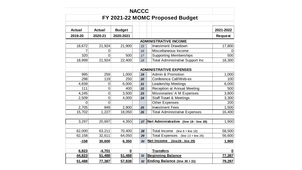|               |                                 |               | <b>NACCC</b> |      |                                         |                |  |  |  |  |
|---------------|---------------------------------|---------------|--------------|------|-----------------------------------------|----------------|--|--|--|--|
|               | FY 2021-22 MOMC Proposed Budget |               |              |      |                                         |                |  |  |  |  |
|               |                                 |               |              |      |                                         |                |  |  |  |  |
| <b>Actual</b> | <b>Actual</b>                   | <b>Budget</b> |              |      |                                         | 2021-2022      |  |  |  |  |
| 2019-20       | 2020-21                         | 2020-2021     |              |      |                                         | <b>Request</b> |  |  |  |  |
|               |                                 |               |              |      | <b>ADMINISTRATIVE INCOME</b>            |                |  |  |  |  |
| 18,672        | 21,924                          | 21,900        | 15           |      | <b>Investment Drawdown</b>              | 17,800         |  |  |  |  |
|               | $\overline{0}$                  |               |              | 16   | Miscellaneous Income                    |                |  |  |  |  |
| 320           | 0                               | 500           |              | $17$ | <b>Supporting Memberships</b>           | 500            |  |  |  |  |
| 18,999        | 21,924                          | 22,400        | 18           |      | <b>Total Administrative Support Inc</b> | 18,300         |  |  |  |  |
|               |                                 |               |              |      | <b>ADMINISTRATIVE EXPENSES</b>          |                |  |  |  |  |
| 995           | 259                             | 1,000         | 19           |      | Admin & Promotion                       | 1,000          |  |  |  |  |
| 298           | 119                             | 250           | 20           |      | Conference Call/Web-ex                  | 100            |  |  |  |  |
| 4,839         | 0                               | 6,000         | 21           |      | <b>Leadership Meetings</b>              | 6,000          |  |  |  |  |
| 111           | $\overline{0}$                  | 400           | 22           |      | <b>Reception at Annual Meeting</b>      | 500            |  |  |  |  |
| 4,245         | 0                               | 3,500         | 23           |      | Missionaries' A M Expenses              | 3,800          |  |  |  |  |
| 2,509         | $\mathbf 0$                     | 4,000         | 24           |      | <b>Staff Travel &amp; Meetings</b>      | 3,300          |  |  |  |  |
| $\Omega$      | 0                               |               |              |      | <b>Other Expenses</b>                   | 200            |  |  |  |  |
| 2,705         | 849                             | 2,900         | 25           |      | <b>Investment Fees</b>                  | 1,500          |  |  |  |  |
| 15,702        | 1,227                           | 18,050        | 26           |      | <b>Total Administrative Expenses</b>    | 16,400         |  |  |  |  |
| 3,297         | 20,697                          | 4,350         |              | 27   | Net Administrative (line 18 - line 28)  | 1,900          |  |  |  |  |
| 62,000        | 63,211                          | 70,400        |              | 28   | Total Income (line $8 +$ line 18)       | 58,500         |  |  |  |  |
| 62,158        | 32,611                          | 64,050        |              | 29   | Total Expenses (line 13 + line 26)      | 56,600         |  |  |  |  |
| $-158$        | 30,600                          | 6,350         |              | 30   | Net Income (line28 - line 29)           | 1,900          |  |  |  |  |
| 6,823         | $-4,701$                        | $\mathbf 0$   |              |      | <b>Transfers</b>                        | 0              |  |  |  |  |
| 44,823        | 51,488                          | 51,488        | 31           |      | <b>Beginning Balance</b>                | 77,387         |  |  |  |  |
| 51,488        | 77,387                          | 57,838        |              | 32   | <b>Ending Balance (line 30 + 31)</b>    | 79,287         |  |  |  |  |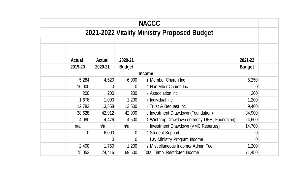| <b>NACCC</b>                                |          |                |               |                                               |               |  |  |  |  |  |
|---------------------------------------------|----------|----------------|---------------|-----------------------------------------------|---------------|--|--|--|--|--|
| 2021-2022 Vitality Ministry Proposed Budget |          |                |               |                                               |               |  |  |  |  |  |
|                                             |          |                |               |                                               |               |  |  |  |  |  |
|                                             |          |                |               |                                               |               |  |  |  |  |  |
| <b>Actual</b>                               | Actual   | 2020-21        |               |                                               | 2021-22       |  |  |  |  |  |
| 2019-20                                     | 2020-21  | <b>Budget</b>  |               |                                               | <b>Budget</b> |  |  |  |  |  |
|                                             |          |                | <b>Income</b> |                                               |               |  |  |  |  |  |
| 5,284                                       | 4,520    | 6,000          |               | 1 Member Church Inc                           | 5,250         |  |  |  |  |  |
| 10,000                                      |          | 0              |               | 2 Non Mber Church Inc                         |               |  |  |  |  |  |
| 200                                         | 200      | 200            |               | 3 Association Inc                             | 200           |  |  |  |  |  |
| 1,678                                       | 1,000    | 1,200          |               | 4 Individual Inc                              | 1,200         |  |  |  |  |  |
| 12,783                                      | 13,558   | 13,500         |               | 5 Trust & Bequest Inc                         | 9,400         |  |  |  |  |  |
| 38,628                                      | 42,912   | 42,900         |               | 6 Investment Drawdown (Foundation)            | 34,900        |  |  |  |  |  |
| 4,080                                       | 4,476    | 4,500          |               | 7 Winthrop Drawdown (formerly DFM, Foundaion) | 4,600         |  |  |  |  |  |
| n/a                                         | n/a      | n/a            |               | Investment Drawdown (VMC Reserves)            | 14,700        |  |  |  |  |  |
| $\overline{0}$                              | 6,000    | $\overline{0}$ |               | 8 Student Support                             |               |  |  |  |  |  |
|                                             | $\Omega$ | $\overline{0}$ |               | Lay Ministry Program Income                   | 0             |  |  |  |  |  |
| 2,400                                       | 1,750    | 1,200          |               | 9 Miscellaneous Income/ Admin Fee             | 1,200         |  |  |  |  |  |
| 75,053                                      | 74,416   | 69,500         |               | <b>Total Temp. Restricted Income</b>          | 71,450        |  |  |  |  |  |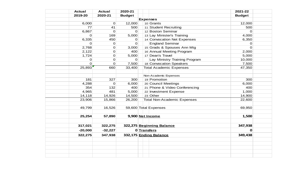| <b>Actual</b> | <b>Actual</b>   | 2020-21       |                 |                                    | 2021-22       |
|---------------|-----------------|---------------|-----------------|------------------------------------|---------------|
| 2019-20       | 2020-21         | <b>Budget</b> |                 |                                    | <b>Budget</b> |
|               |                 |               | <b>Expenses</b> |                                    |               |
| 6,000         | $\mathbf 0$     | 12,000        |                 | 10 Grants                          | 12,000        |
|               | 77<br>41        | 500           |                 | 11 Student Recruiting              | 500           |
| 6,867         | 0               | $\Omega$      |                 | 12 Boston Seminar                  | $\Omega$      |
|               | 169<br>$\Omega$ | 5,000         |                 | 13 Lay Minister's Training         | 4,000         |
| 6,335         | 450             | $\Omega$      |                 | 14 Convocation Net Expenses        | 6,350         |
|               | o<br>$\Omega$   | $\Omega$      |                 | <b>England Seminar</b>             | $\Omega$      |
| 2,768         | O               | 3,000         |                 | 15 Grads & Spouses Ann Mtg         | $\Omega$      |
| 2,122         | O               | 400           |                 | 16 Annual Meeting Program          | 2,000         |
| 1,724         | 0               | 5,000         |                 | 17 Dean's Travel                   | 5,000         |
|               | 0<br>0          | $\Omega$      |                 | Lay Ministry Training Program      | 10,000        |
|               | 0<br>0          | 7,500         |                 | 18 Convocation Speakers            | 7,500         |
| 25,893        | 660             | 33,400        |                 | <b>Total Academic Expenses</b>     | 47,350        |
|               |                 |               |                 |                                    |               |
|               |                 |               |                 | Non-Academic Expenses              |               |
| 181           | 327             | 300           |                 | 19 Promotion                       | 300           |
| 4,288         | $\mathbf{O}$    | 6,000         |                 | 20 Council Meetings                | 6,000         |
| 354           | 132             | 400           |                 | 21 Phone & Video Conferencing      | 400           |
| 4,965         | 481             | 5,000         |                 | 22 Investment Expense              | 1,000         |
| 14, 118       | 14,926          | 14,500        |                 | $23$ Other                         | 14,900        |
| 23,906        | 15,866          | 26,200        |                 | <b>Total Non-Academic Expenses</b> | 22,600        |
|               |                 |               |                 |                                    |               |
| 49,799        | 16,526          |               |                 | 59,600 Total Expenses              | 69,950        |
|               |                 |               |                 |                                    |               |
| 25,254        | 57,890          |               |                 | 9,900 Net Income                   | 1,500         |
|               |                 |               |                 |                                    |               |
| 317,021       | 322,275         |               |                 | 322,275 Beginning Balance          | 347,938       |
| $-20,000$     | $-32,227$       |               | 0 Transfers     |                                    | 0             |
| 322,275       | 347,938         |               |                 | 332,175 Ending Balance             | 349,438       |
|               |                 |               |                 |                                    |               |
|               |                 |               |                 |                                    |               |
|               |                 |               |                 |                                    |               |
|               |                 |               |                 |                                    |               |
|               |                 |               |                 |                                    |               |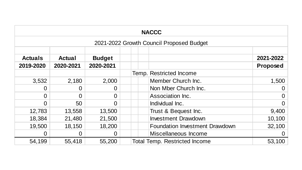| <b>NACCC</b>                             |                |               |           |  |  |                                       |                                                                 |  |  |  |
|------------------------------------------|----------------|---------------|-----------|--|--|---------------------------------------|-----------------------------------------------------------------|--|--|--|
| 2021-2022 Growth Council Proposed Budget |                |               |           |  |  |                                       |                                                                 |  |  |  |
| <b>Actuals</b>                           | <b>Actual</b>  | <b>Budget</b> |           |  |  |                                       | 2021-2022                                                       |  |  |  |
|                                          |                |               |           |  |  |                                       | Proposed                                                        |  |  |  |
|                                          |                |               |           |  |  |                                       |                                                                 |  |  |  |
| 3,532                                    | 2,180          | 2,000         |           |  |  | Member Church Inc.                    | 1,500                                                           |  |  |  |
| 0                                        | $\overline{0}$ | $\Omega$      |           |  |  | Non Mber Church Inc.                  | $\overline{0}$                                                  |  |  |  |
| $\Omega$                                 | $\Omega$       | $\Omega$      |           |  |  | Association Inc.                      | $\overline{0}$                                                  |  |  |  |
| $\Omega$                                 | 50             | $\Omega$      |           |  |  | Individual Inc.                       | $\overline{0}$                                                  |  |  |  |
| 12,783                                   | 13,558         | 13,500        |           |  |  | Trust & Bequest Inc.                  | 9,400                                                           |  |  |  |
| 18,384                                   | 21,480         | 21,500        |           |  |  | <b>Investment Drawdown</b>            | 10,100                                                          |  |  |  |
| 19,500                                   | 18,150         | 18,200        |           |  |  | <b>Foundation Investment Drawdown</b> | 32,100                                                          |  |  |  |
| 0                                        | 0              | $\Omega$      |           |  |  | Miscellaneous Income                  | $\overline{0}$                                                  |  |  |  |
| 54,199                                   | 55,418         | 55,200        |           |  |  |                                       | 53,100                                                          |  |  |  |
|                                          | 2019-2020      | 2020-2021     | 2020-2021 |  |  |                                       | Temp. Restricted Income<br><b>Total Temp. Restricted Income</b> |  |  |  |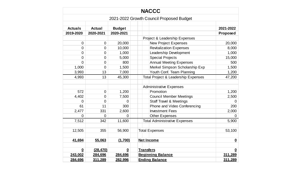| <b>NACCC</b>            |                  |                  |                                                |                          |  |  |  |  |
|-------------------------|------------------|------------------|------------------------------------------------|--------------------------|--|--|--|--|
|                         |                  |                  | 2021-2022 Growth Council Proposed Budget       |                          |  |  |  |  |
| <b>Actuals</b>          | <b>Actual</b>    | <b>Budget</b>    |                                                | 2021-2022                |  |  |  |  |
| 2019-2020               | 2020-2021        | 2020-2021        |                                                | Proposed                 |  |  |  |  |
|                         |                  |                  | Project & Leadership Expenses                  |                          |  |  |  |  |
| $\mathbf 0$             | 0                | 20,000           | <b>New Project Expenses</b>                    | 20,000                   |  |  |  |  |
| $\overline{0}$          | $\boldsymbol{0}$ | 10,000           | <b>Revitalization Expenses</b>                 | 8,000                    |  |  |  |  |
| $\overline{0}$          | $\mathbf 0$      | 1,000            | Leadership Development                         | 1,000                    |  |  |  |  |
| $\mathbf 0$             | $\mathbf 0$      | 5,000            | <b>Special Projects</b>                        | 15,000                   |  |  |  |  |
| $\overline{0}$          | $\overline{0}$   | 800              | <b>Annual Meeting Expenses</b>                 | 500                      |  |  |  |  |
| 1,000                   | $\mathbf 0$      | 1,500            | Merkel Simpson Scholarship Exp                 | 1,500                    |  |  |  |  |
| 3,993                   | 13               | 7,000            | Youth Conf. Team Planning                      | 1,200                    |  |  |  |  |
| 4,993                   | 13               | 45,300           | <b>Total Project &amp; Leadership Expenses</b> | 47,200                   |  |  |  |  |
|                         |                  |                  |                                                |                          |  |  |  |  |
|                         |                  |                  | <b>Administrative Expenses</b>                 |                          |  |  |  |  |
| 572                     | $\mathbf 0$      | 1,200            | Promotion                                      | 1,200                    |  |  |  |  |
| 4,402                   | $\mathbf 0$      | 7,500            | <b>Council Member Meetings</b>                 | 2,500                    |  |  |  |  |
| $\overline{0}$          | $\mathbf 0$      | $\overline{0}$   | <b>Staff Travel &amp; Meetings</b>             | $\overline{0}$           |  |  |  |  |
| 61                      | 11               | 300              | Phone and Video Conferencing                   | 200                      |  |  |  |  |
| 2,477                   | 331              | 2,600            | <b>Investment Fees</b>                         | 2,000                    |  |  |  |  |
| 0                       | $\mathbf 0$      | $\overline{0}$   | <b>Other Expenses</b>                          | 0                        |  |  |  |  |
| 7,512                   | 342              | 11,600           | <b>Total Administrative Expenses</b>           | 5,900                    |  |  |  |  |
|                         |                  |                  |                                                |                          |  |  |  |  |
| 12,505                  | 355              | 56,900           | <b>Total Expenses</b>                          | 53,100                   |  |  |  |  |
|                         |                  |                  |                                                |                          |  |  |  |  |
| 41,694                  | 55,063           | (1,700)          | <b>Net Income</b>                              | $\underline{\mathbf{0}}$ |  |  |  |  |
| $\overline{\mathbf{0}}$ | (28, 470)        | $\boldsymbol{0}$ | <b>Transfers</b>                               | $\overline{\mathbf{0}}$  |  |  |  |  |
| 243,002                 | 284,696          | 284,696          | <b>Beginning Balance</b>                       | 311,289                  |  |  |  |  |
| 284,696                 | 311,289          | 282,996          | <b>Ending Balance</b>                          | 311,289                  |  |  |  |  |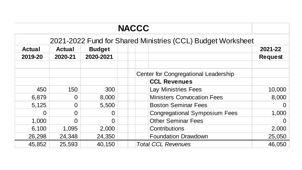|               |                |               | <b>NACCC</b>                                                |                |
|---------------|----------------|---------------|-------------------------------------------------------------|----------------|
|               |                |               | 2021-2022 Fund for Shared Ministries (CCL) Budget Worksheet |                |
| <b>Actual</b> | <b>Actual</b>  | <b>Budget</b> |                                                             | 2021-22        |
| 2019-20       | 2020-21        | 2020-2021     |                                                             | <b>Request</b> |
|               |                |               |                                                             |                |
|               |                |               | Center for Congregational Leadership                        |                |
|               |                |               | <b>CCL Revenues</b>                                         |                |
| 450           | 150            | 300           | <b>Lay Ministries Fees</b>                                  | 10,000         |
| 6,879         | $\Omega$       | 8,000         | <b>Ministers Convocation Fees</b>                           | 8,000          |
| 5,125         | $\overline{O}$ | 5,500         | <b>Boston Seminar Fees</b>                                  | $\overline{0}$ |
| 0             | $\Omega$       | $\Omega$      | <b>Congregational Symposium Fees</b>                        | 1,000          |
| 1,000         | $\overline{0}$ | $\Omega$      | <b>Other Seminar Fees</b>                                   | $\overline{0}$ |
| 6,100         | 1,095          | 2,000         | <b>Contributions</b>                                        | 2,000          |
| 26,298        | 24,348         | 24,350        | <b>Foundation Drawdown</b>                                  | 25,050         |
| 45,852        | 25,593         | 40,150        | <b>Total CCL Revenues</b>                                   | 46,050         |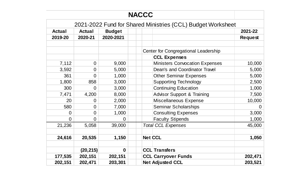| <b>NACCC</b>                                                |                |                |                                      |                                       |                |
|-------------------------------------------------------------|----------------|----------------|--------------------------------------|---------------------------------------|----------------|
| 2021-2022 Fund for Shared Ministries (CCL) Budget Worksheet |                |                |                                      |                                       |                |
| <b>Actual</b>                                               | <b>Actual</b>  | <b>Budget</b>  |                                      |                                       | 2021-22        |
| 2019-20                                                     | 2020-21        | 2020-2021      |                                      |                                       | <b>Request</b> |
|                                                             |                |                |                                      |                                       |                |
|                                                             |                |                | Center for Congregational Leadership |                                       |                |
|                                                             |                |                |                                      | <b>CCL Expenses</b>                   |                |
| 7,112                                                       | $\overline{0}$ | 9,000          |                                      | <b>Ministers Convocation Expenses</b> | 10,000         |
| 3,592                                                       | $\Omega$       | 5,000          |                                      | <b>Dean's and Coordinator Travel</b>  | 5,000          |
| 361                                                         | $\overline{0}$ | 1,000          |                                      | <b>Other Seminar Expenses</b>         | 5,000          |
| 1,800                                                       | 858            | 3,000          |                                      | <b>Supporting Technology</b>          | 2,500          |
| 300                                                         | $\overline{0}$ | 3,000          |                                      | <b>Continuing Education</b>           | 1,000          |
| 7,471                                                       | 4,200          | 8,000          |                                      | <b>Advisor Support &amp; Training</b> | 7,500          |
| 20                                                          | $\overline{0}$ | 2,000          |                                      | Miscellaneous Expense                 | 10,000         |
| 580                                                         | $\overline{0}$ | 7,000          |                                      | <b>Seminar Scholarships</b>           | $\Omega$       |
| $\overline{0}$                                              | $\overline{0}$ | 1,000          |                                      | <b>Consulting Expenses</b>            | 3,000          |
| $\overline{0}$                                              | $\Omega$       | $\overline{0}$ |                                      | <b>Faculty Stipends</b>               | 1,000          |
| 21,236                                                      | 5,058          | 39,000         |                                      | <b>Total CCL Expenses</b>             | 45,000         |
| 24,616                                                      | 20,535         | 1,150          |                                      | <b>Net CCL</b>                        | 1,050          |
|                                                             |                |                |                                      |                                       |                |
|                                                             | (20, 215)      | $\mathbf 0$    |                                      | <b>CCL Transfers</b>                  |                |
| 177,535                                                     | 202,151        | 202,151        |                                      | <b>CCL Carryover Funds</b>            | 202,471        |
| 202,151                                                     | 202,471        | 203,301        |                                      | <b>Net Adjusted CCL</b>               | 203,521        |